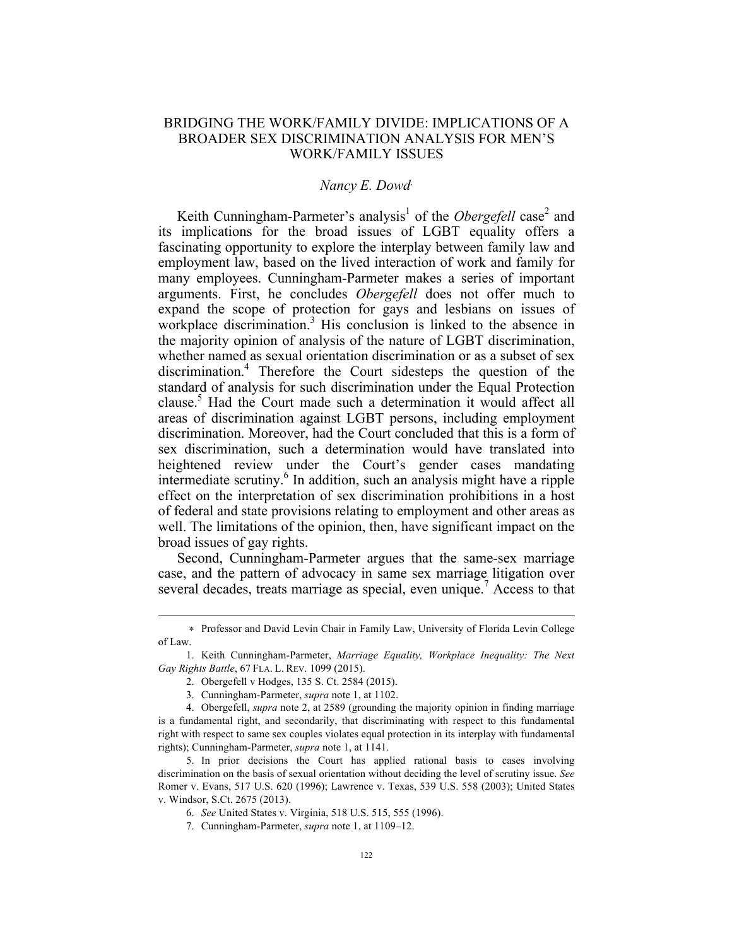## BRIDGING THE WORK/FAMILY DIVIDE: IMPLICATIONS OF A BROADER SEX DISCRIMINATION ANALYSIS FOR MEN'S WORK/FAMILY ISSUES

## *Nancy E. Dowd*<sup>∗</sup>

Keith Cunningham-Parmeter's analysis<sup>1</sup> of the *Obergefell* case<sup>2</sup> and its implications for the broad issues of LGBT equality offers a fascinating opportunity to explore the interplay between family law and employment law, based on the lived interaction of work and family for many employees. Cunningham-Parmeter makes a series of important arguments. First, he concludes *Obergefell* does not offer much to expand the scope of protection for gays and lesbians on issues of workplace discrimination.<sup>3</sup> His conclusion is linked to the absence in the majority opinion of analysis of the nature of LGBT discrimination, whether named as sexual orientation discrimination or as a subset of sex discrimination.<sup>4</sup> Therefore the Court sidesteps the question of the standard of analysis for such discrimination under the Equal Protection clause.<sup>5</sup> Had the Court made such a determination it would affect all areas of discrimination against LGBT persons, including employment discrimination. Moreover, had the Court concluded that this is a form of sex discrimination, such a determination would have translated into heightened review under the Court's gender cases mandating intermediate scrutiny.<sup>6</sup> In addition, such an analysis might have a ripple effect on the interpretation of sex discrimination prohibitions in a host of federal and state provisions relating to employment and other areas as well. The limitations of the opinion, then, have significant impact on the broad issues of gay rights.

Second, Cunningham-Parmeter argues that the same-sex marriage case, and the pattern of advocacy in same sex marriage litigation over several decades, treats marriage as special, even unique.<sup>7</sup> Access to that

1

<sup>∗</sup> Professor and David Levin Chair in Family Law, University of Florida Levin College of Law.

<sup>1.</sup> Keith Cunningham-Parmeter, *Marriage Equality, Workplace Inequality: The Next Gay Rights Battle*, 67 FLA. L. REV. 1099 (2015).

<sup>2.</sup> Obergefell v Hodges, 135 S. Ct. 2584 (2015).

<sup>3.</sup> Cunningham-Parmeter, *supra* note 1, at 1102.

<sup>4.</sup> Obergefell, *supra* note 2, at 2589 (grounding the majority opinion in finding marriage is a fundamental right, and secondarily, that discriminating with respect to this fundamental right with respect to same sex couples violates equal protection in its interplay with fundamental rights); Cunningham-Parmeter, *supra* note 1, at 1141.

<sup>5.</sup> In prior decisions the Court has applied rational basis to cases involving discrimination on the basis of sexual orientation without deciding the level of scrutiny issue. *See* Romer v. Evans, 517 U.S. 620 (1996); Lawrence v. Texas, 539 U.S. 558 (2003); United States v. Windsor, S.Ct. 2675 (2013).

<sup>6.</sup> *See* United States v. Virginia, 518 U.S. 515, 555 (1996).

<sup>7.</sup> Cunningham-Parmeter, *supra* note 1, at 1109–12.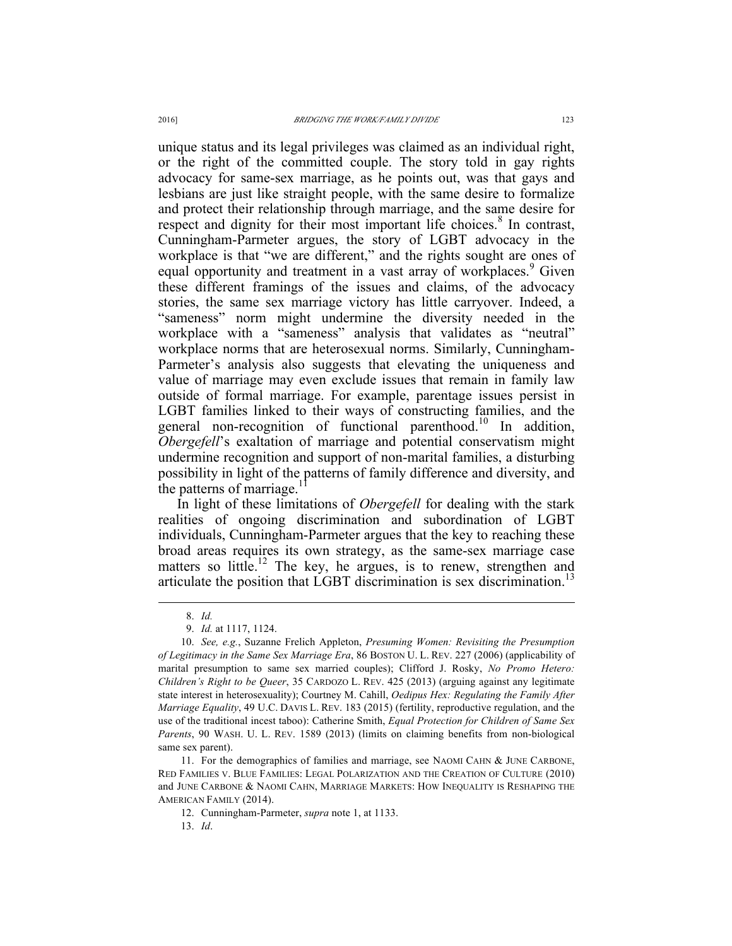unique status and its legal privileges was claimed as an individual right, or the right of the committed couple. The story told in gay rights advocacy for same-sex marriage, as he points out, was that gays and lesbians are just like straight people, with the same desire to formalize and protect their relationship through marriage, and the same desire for respect and dignity for their most important life choices.<sup>8</sup> In contrast, Cunningham-Parmeter argues, the story of LGBT advocacy in the workplace is that "we are different," and the rights sought are ones of equal opportunity and treatment in a vast array of workplaces.<sup>9</sup> Given these different framings of the issues and claims, of the advocacy stories, the same sex marriage victory has little carryover. Indeed, a "sameness" norm might undermine the diversity needed in the workplace with a "sameness" analysis that validates as "neutral" workplace norms that are heterosexual norms. Similarly, Cunningham-Parmeter's analysis also suggests that elevating the uniqueness and value of marriage may even exclude issues that remain in family law outside of formal marriage. For example, parentage issues persist in LGBT families linked to their ways of constructing families, and the general non-recognition of functional parenthood.<sup>10</sup> In addition, *Obergefell*'s exaltation of marriage and potential conservatism might undermine recognition and support of non-marital families, a disturbing possibility in light of the patterns of family difference and diversity, and the patterns of marriage.<sup>1</sup>

In light of these limitations of *Obergefell* for dealing with the stark realities of ongoing discrimination and subordination of LGBT individuals, Cunningham-Parmeter argues that the key to reaching these broad areas requires its own strategy, as the same-sex marriage case matters so little.<sup>12</sup> The key, he argues, is to renew, strengthen and articulate the position that LGBT discrimination is sex discrimination.<sup>13</sup>

 <sup>8.</sup> *Id.*

<sup>9.</sup> *Id.* at 1117, 1124.

<sup>10.</sup> *See, e.g.*, Suzanne Frelich Appleton, *Presuming Women: Revisiting the Presumption of Legitimacy in the Same Sex Marriage Era*, 86 BOSTON U. L. REV. 227 (2006) (applicability of marital presumption to same sex married couples); Clifford J. Rosky, *No Promo Hetero: Children's Right to be Queer*, 35 CARDOZO L. REV. 425 (2013) (arguing against any legitimate state interest in heterosexuality); Courtney M. Cahill, *Oedipus Hex: Regulating the Family After Marriage Equality*, 49 U.C. DAVIS L. REV. 183 (2015) (fertility, reproductive regulation, and the use of the traditional incest taboo): Catherine Smith, *Equal Protection for Children of Same Sex Parents*, 90 WASH. U. L. REV. 1589 (2013) (limits on claiming benefits from non-biological same sex parent).

<sup>11.</sup> For the demographics of families and marriage, see NAOMI CAHN & JUNE CARBONE, RED FAMILIES V. BLUE FAMILIES: LEGAL POLARIZATION AND THE CREATION OF CULTURE (2010) and JUNE CARBONE & NAOMI CAHN, MARRIAGE MARKETS: HOW INEQUALITY IS RESHAPING THE AMERICAN FAMILY (2014).

<sup>12.</sup> Cunningham-Parmeter, *supra* note 1, at 1133.

<sup>13.</sup> *Id*.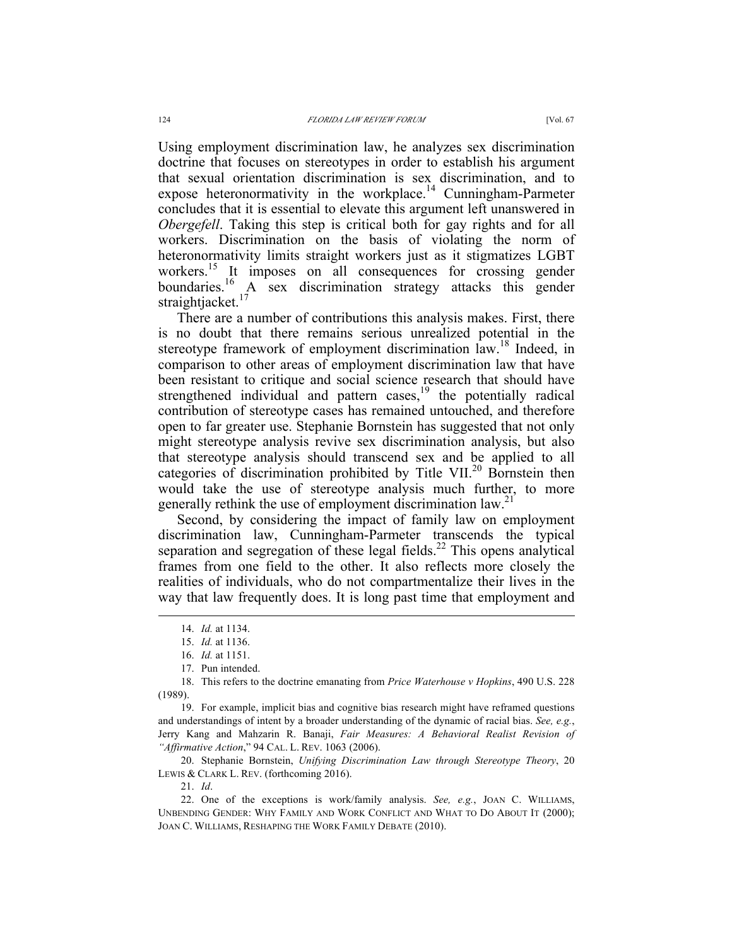Using employment discrimination law, he analyzes sex discrimination doctrine that focuses on stereotypes in order to establish his argument that sexual orientation discrimination is sex discrimination, and to expose heteronormativity in the workplace.<sup>14</sup> Cunningham-Parmeter concludes that it is essential to elevate this argument left unanswered in *Obergefell*. Taking this step is critical both for gay rights and for all workers. Discrimination on the basis of violating the norm of heteronormativity limits straight workers just as it stigmatizes LGBT workers.<sup>15</sup> It imposes on all consequences for crossing gender boundaries.<sup>16</sup> A sex discrimination strategy attacks this gender straightjacket.<sup>17</sup>

There are a number of contributions this analysis makes. First, there is no doubt that there remains serious unrealized potential in the stereotype framework of employment discrimination law.<sup>18</sup> Indeed, in comparison to other areas of employment discrimination law that have been resistant to critique and social science research that should have strengthened individual and pattern cases,<sup>19</sup> the potentially radical contribution of stereotype cases has remained untouched, and therefore open to far greater use. Stephanie Bornstein has suggested that not only might stereotype analysis revive sex discrimination analysis, but also that stereotype analysis should transcend sex and be applied to all categories of discrimination prohibited by Title VII.<sup>20</sup> Bornstein then would take the use of stereotype analysis much further, to more generally rethink the use of employment discrimination law.<sup>21</sup>

Second, by considering the impact of family law on employment discrimination law, Cunningham-Parmeter transcends the typical separation and segregation of these legal fields.<sup>22</sup> This opens analytical frames from one field to the other. It also reflects more closely the realities of individuals, who do not compartmentalize their lives in the way that law frequently does. It is long past time that employment and

19. For example, implicit bias and cognitive bias research might have reframed questions and understandings of intent by a broader understanding of the dynamic of racial bias. *See, e.g.*, Jerry Kang and Mahzarin R. Banaji, *Fair Measures: A Behavioral Realist Revision of "Affirmative Action*," 94 CAL. L. REV. 1063 (2006).

20. Stephanie Bornstein, *Unifying Discrimination Law through Stereotype Theory*, 20 LEWIS & CLARK L. REV. (forthcoming 2016).

21. *Id*.

22. One of the exceptions is work/family analysis. *See, e.g.*, JOAN C. WILLIAMS, UNBENDING GENDER: WHY FAMILY AND WORK CONFLICT AND WHAT TO DO ABOUT IT (2000); JOAN C. WILLIAMS, RESHAPING THE WORK FAMILY DEBATE (2010).

 <sup>14.</sup> *Id.* at 1134.

<sup>15.</sup> *Id.* at 1136.

<sup>16.</sup> *Id.* at 1151.

<sup>17.</sup> Pun intended.

<sup>18.</sup> This refers to the doctrine emanating from *Price Waterhouse v Hopkins*, 490 U.S. 228 (1989).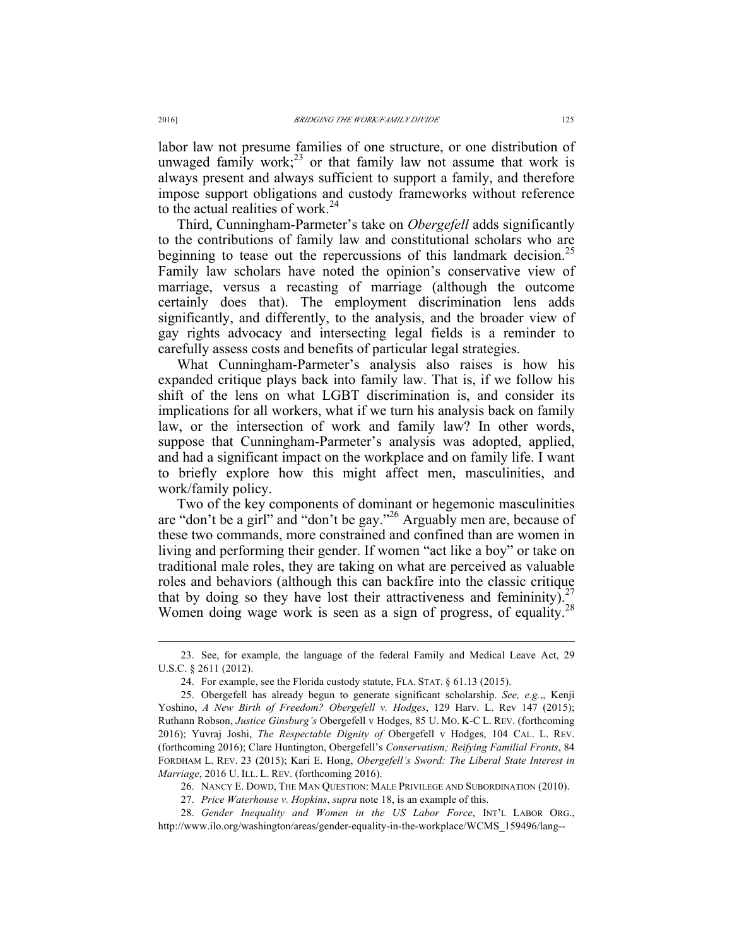labor law not presume families of one structure, or one distribution of unwaged family work; $^{23}$  or that family law not assume that work is always present and always sufficient to support a family, and therefore impose support obligations and custody frameworks without reference to the actual realities of work. $24$ 

Third, Cunningham-Parmeter's take on *Obergefell* adds significantly to the contributions of family law and constitutional scholars who are beginning to tease out the repercussions of this landmark decision.<sup>25</sup> Family law scholars have noted the opinion's conservative view of marriage, versus a recasting of marriage (although the outcome certainly does that). The employment discrimination lens adds significantly, and differently, to the analysis, and the broader view of gay rights advocacy and intersecting legal fields is a reminder to carefully assess costs and benefits of particular legal strategies.

What Cunningham-Parmeter's analysis also raises is how his expanded critique plays back into family law. That is, if we follow his shift of the lens on what LGBT discrimination is, and consider its implications for all workers, what if we turn his analysis back on family law, or the intersection of work and family law? In other words, suppose that Cunningham-Parmeter's analysis was adopted, applied, and had a significant impact on the workplace and on family life. I want to briefly explore how this might affect men, masculinities, and work/family policy.

Two of the key components of dominant or hegemonic masculinities are "don't be a girl" and "don't be gay." <sup>26</sup> Arguably men are, because of these two commands, more constrained and confined than are women in living and performing their gender. If women "act like a boy" or take on traditional male roles, they are taking on what are perceived as valuable roles and behaviors (although this can backfire into the classic critique that by doing so they have lost their attractiveness and femininity). Women doing wage work is seen as a sign of progress, of equality.<sup>28</sup>

 <sup>23.</sup> See, for example, the language of the federal Family and Medical Leave Act, 29 U.S.C. § 2611 (2012).

<sup>24.</sup> For example, see the Florida custody statute, FLA. STAT. § 61.13 (2015).

<sup>25.</sup> Obergefell has already begun to generate significant scholarship. *See, e.g.*,, Kenji Yoshino, *A New Birth of Freedom? Obergefell v. Hodges*, 129 Harv. L. Rev 147 (2015); Ruthann Robson, *Justice Ginsburg's* Obergefell v Hodges, 85 U. MO. K-C L. REV. (forthcoming 2016); Yuvraj Joshi, *The Respectable Dignity of* Obergefell v Hodges, 104 CAL. L. REV. (forthcoming 2016); Clare Huntington, Obergefell's *Conservatism; Reifying Familial Fronts*, 84 FORDHAM L. REV. 23 (2015); Kari E. Hong, *Obergefell's Sword: The Liberal State Interest in Marriage*, 2016 U. ILL. L. REV. (forthcoming 2016).

<sup>26.</sup> NANCY E. DOWD, THE MAN QUESTION: MALE PRIVILEGE AND SUBORDINATION (2010).

<sup>27.</sup> *Price Waterhouse v. Hopkins*, *supra* note 18, is an example of this.

<sup>28.</sup> *Gender Inequality and Women in the US Labor Force*, INT'L LABOR ORG., http://www.ilo.org/washington/areas/gender-equality-in-the-workplace/WCMS\_159496/lang--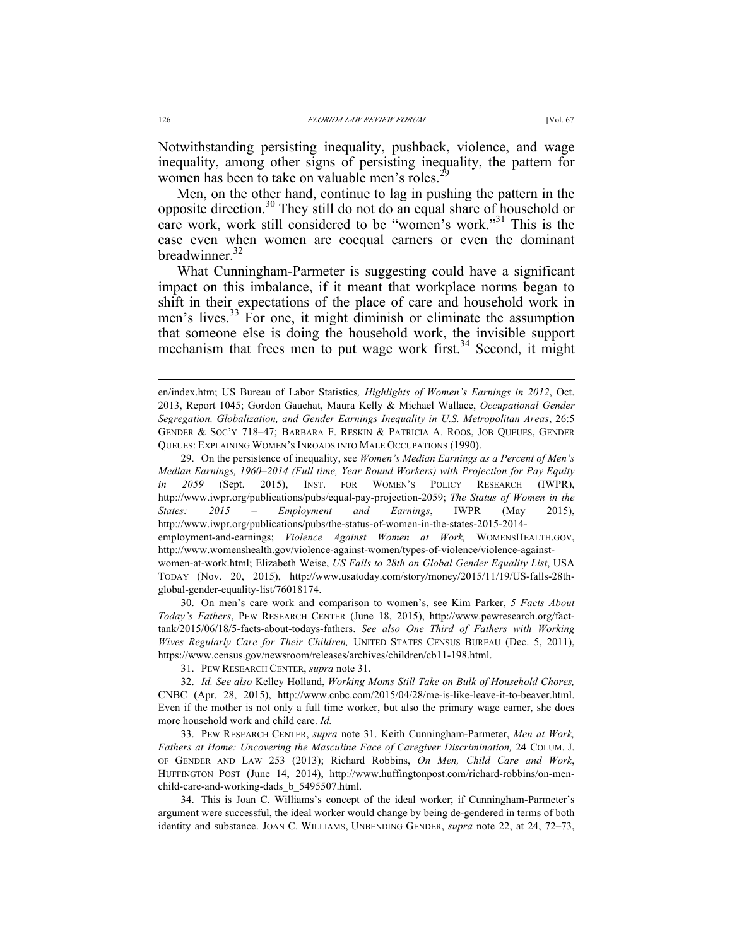Notwithstanding persisting inequality, pushback, violence, and wage inequality, among other signs of persisting inequality, the pattern for women has been to take on valuable men's roles.<sup>29</sup>

Men, on the other hand, continue to lag in pushing the pattern in the opposite direction.<sup>30</sup> They still do not do an equal share of household or care work, work still considered to be "women's work." <sup>31</sup> This is the case even when women are coequal earners or even the dominant breadwinner. $32$ 

What Cunningham-Parmeter is suggesting could have a significant impact on this imbalance, if it meant that workplace norms began to shift in their expectations of the place of care and household work in men's lives.<sup>33</sup> For one, it might diminish or eliminate the assumption that someone else is doing the household work, the invisible support mechanism that frees men to put wage work first.<sup>34</sup> Second, it might

29. On the persistence of inequality, see *Women's Median Earnings as a Percent of Men's Median Earnings, 1960*–*2014 (Full time, Year Round Workers) with Projection for Pay Equity in 2059* (Sept. 2015), INST. FOR WOMEN'S POLICY RESEARCH (IWPR), http://www.iwpr.org/publications/pubs/equal-pay-projection-2059; *The Status of Women in the States: 2015 – Employment and Earnings*, IWPR (May 2015), http://www.iwpr.org/publications/pubs/the-status-of-women-in-the-states-2015-2014 employment-and-earnings; *Violence Against Women at Work,* WOMENSHEALTH.GOV, http://www.womenshealth.gov/violence-against-women/types-of-violence/violence-againstwomen-at-work.html; Elizabeth Weise, *US Falls to 28th on Global Gender Equality List*, USA TODAY (Nov. 20, 2015), http://www.usatoday.com/story/money/2015/11/19/US-falls-28thglobal-gender-equality-list/76018174.

30. On men's care work and comparison to women's, see Kim Parker, *5 Facts About Today's Fathers*, PEW RESEARCH CENTER (June 18, 2015), http://www.pewresearch.org/facttank/2015/06/18/5-facts-about-todays-fathers. *See also One Third of Fathers with Working Wives Regularly Care for Their Children,* UNITED STATES CENSUS BUREAU (Dec. 5, 2011), https://www.census.gov/newsroom/releases/archives/children/cb11-198.html.

31. PEW RESEARCH CENTER, *supra* note 31.

32. *Id. See also* Kelley Holland, *Working Moms Still Take on Bulk of Household Chores,*  CNBC (Apr. 28, 2015), http://www.cnbc.com/2015/04/28/me-is-like-leave-it-to-beaver.html. Even if the mother is not only a full time worker, but also the primary wage earner, she does more household work and child care. *Id.*

33. PEW RESEARCH CENTER, *supra* note 31. Keith Cunningham-Parmeter, *Men at Work, Fathers at Home: Uncovering the Masculine Face of Caregiver Discrimination,* 24 COLUM. J. OF GENDER AND LAW 253 (2013); Richard Robbins, *On Men, Child Care and Work*, HUFFINGTON POST (June 14, 2014), http://www.huffingtonpost.com/richard-robbins/on-menchild-care-and-working-dads\_b\_5495507.html.

34. This is Joan C. Williams's concept of the ideal worker; if Cunningham-Parmeter's argument were successful, the ideal worker would change by being de-gendered in terms of both identity and substance. JOAN C. WILLIAMS, UNBENDING GENDER, *supra* note 22, at 24, 72–73,

en/index.htm; US Bureau of Labor Statistics*, Highlights of Women's Earnings in 2012*, Oct. 2013, Report 1045; Gordon Gauchat, Maura Kelly & Michael Wallace, *Occupational Gender Segregation, Globalization, and Gender Earnings Inequality in U.S. Metropolitan Areas*, 26:5 GENDER & SOC'Y 718–47; BARBARA F. RESKIN & PATRICIA A. ROOS, JOB QUEUES, GENDER QUEUES: EXPLAINING WOMEN'S INROADS INTO MALE OCCUPATIONS (1990).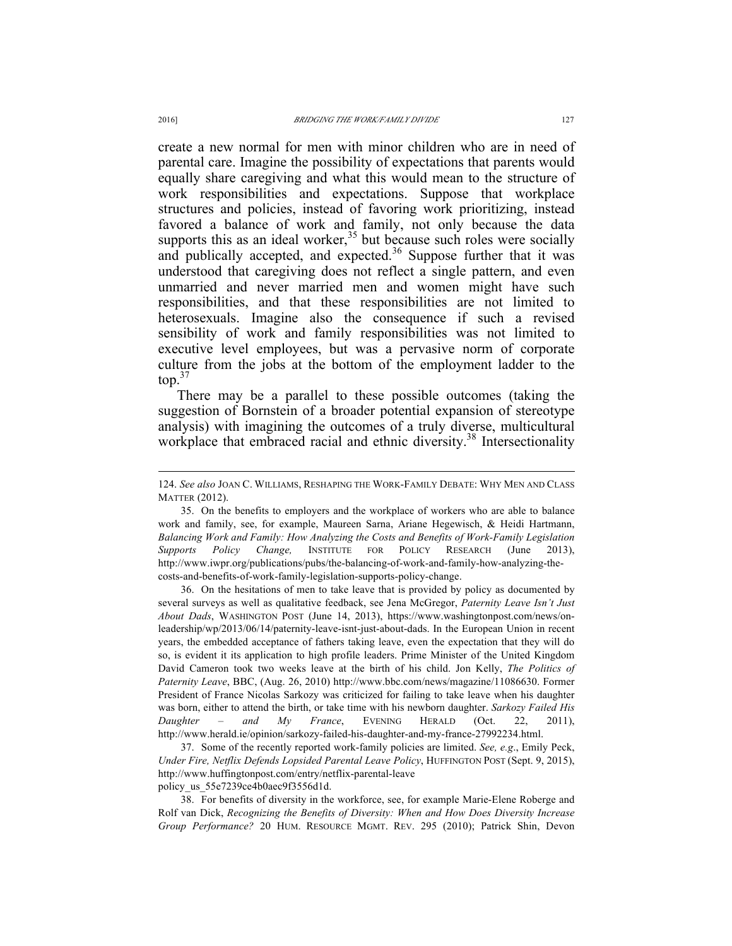create a new normal for men with minor children who are in need of parental care. Imagine the possibility of expectations that parents would equally share caregiving and what this would mean to the structure of work responsibilities and expectations. Suppose that workplace structures and policies, instead of favoring work prioritizing, instead favored a balance of work and family, not only because the data supports this as an ideal worker, $35$  but because such roles were socially and publically accepted, and expected.<sup>36</sup> Suppose further that it was understood that caregiving does not reflect a single pattern, and even unmarried and never married men and women might have such responsibilities, and that these responsibilities are not limited to heterosexuals. Imagine also the consequence if such a revised sensibility of work and family responsibilities was not limited to executive level employees, but was a pervasive norm of corporate culture from the jobs at the bottom of the employment ladder to the  $top.<sup>37</sup>$ 

There may be a parallel to these possible outcomes (taking the suggestion of Bornstein of a broader potential expansion of stereotype analysis) with imagining the outcomes of a truly diverse, multicultural workplace that embraced racial and ethnic diversity.<sup>38</sup> Intersectionality

36. On the hesitations of men to take leave that is provided by policy as documented by several surveys as well as qualitative feedback, see Jena McGregor, *Paternity Leave Isn't Just About Dads*, WASHINGTON POST (June 14, 2013), https://www.washingtonpost.com/news/onleadership/wp/2013/06/14/paternity-leave-isnt-just-about-dads. In the European Union in recent years, the embedded acceptance of fathers taking leave, even the expectation that they will do so, is evident it its application to high profile leaders. Prime Minister of the United Kingdom David Cameron took two weeks leave at the birth of his child. Jon Kelly, *The Politics of Paternity Leave*, BBC, (Aug. 26, 2010) http://www.bbc.com/news/magazine/11086630. Former President of France Nicolas Sarkozy was criticized for failing to take leave when his daughter was born, either to attend the birth, or take time with his newborn daughter. *Sarkozy Failed His Daughter – and My France*, EVENING HERALD (Oct. 22, 2011), http://www.herald.ie/opinion/sarkozy-failed-his-daughter-and-my-france-27992234.html.

37. Some of the recently reported work-family policies are limited. *See, e.g*., Emily Peck, *Under Fire, Netflix Defends Lopsided Parental Leave Policy*, HUFFINGTON POST (Sept. 9, 2015), http://www.huffingtonpost.com/entry/netflix-parental-leave

policy us 55e7239ce4b0aec9f3556d1d.

38. For benefits of diversity in the workforce, see, for example Marie-Elene Roberge and Rolf van Dick, *Recognizing the Benefits of Diversity: When and How Does Diversity Increase Group Performance?* 20 HUM. RESOURCE MGMT. REV. 295 (2010); Patrick Shin, Devon

 <sup>124.</sup> *See also* JOAN C. WILLIAMS, RESHAPING THE WORK-FAMILY DEBATE: WHY MEN AND CLASS MATTER (2012).

<sup>35.</sup> On the benefits to employers and the workplace of workers who are able to balance work and family, see, for example, Maureen Sarna, Ariane Hegewisch, & Heidi Hartmann, *Balancing Work and Family: How Analyzing the Costs and Benefits of Work-Family Legislation Supports Policy Change,* INSTITUTE FOR POLICY RESEARCH (June 2013), http://www.iwpr.org/publications/pubs/the-balancing-of-work-and-family-how-analyzing-thecosts-and-benefits-of-work-family-legislation-supports-policy-change.